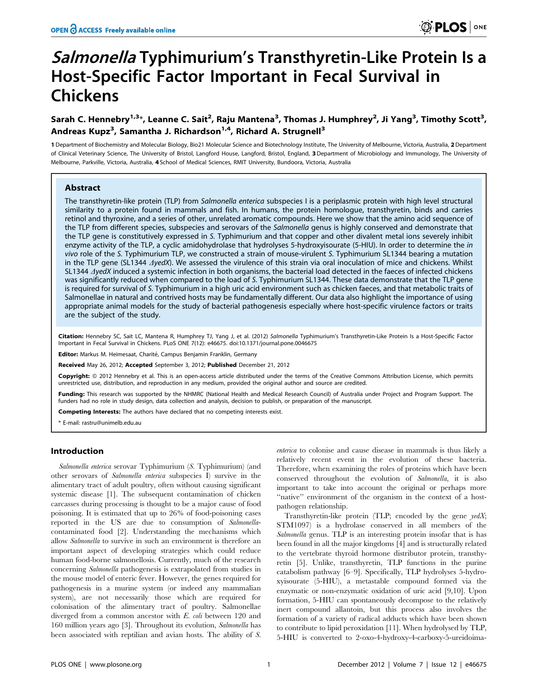# Salmonella Typhimurium's Transthyretin-Like Protein Is a Host-Specific Factor Important in Fecal Survival in Chickens

## Sarah C. Hennebry<sup>1,3</sup>\*, Leanne C. Sait<sup>2</sup>, Raju Mantena<sup>3</sup>, Thomas J. Humphrey<sup>2</sup>, Ji Yang<sup>3</sup>, Timothy Scott<sup>3</sup>, Andreas Kupz<sup>3</sup>, Samantha J. Richardson<sup>1,4</sup>, Richard A. Strugnell<sup>3</sup>

1 Department of Biochemistry and Molecular Biology, Bio21 Molecular Science and Biotechnology Institute, The University of Melbourne, Victoria, Australia, 2Department of Clinical Veterinary Science, The University of Bristol, Langford House, Langford, Bristol, England, 3Department of Microbiology and Immunology, The University of Melbourne, Parkville, Victoria, Australia, 4 School of Medical Sciences, RMIT University, Bundoora, Victoria, Australia

## Abstract

The transthyretin-like protein (TLP) from Salmonella enterica subspecies I is a periplasmic protein with high level structural similarity to a protein found in mammals and fish. In humans, the protein homologue, transthyretin, binds and carries retinol and thyroxine, and a series of other, unrelated aromatic compounds. Here we show that the amino acid sequence of the TLP from different species, subspecies and serovars of the Salmonella genus is highly conserved and demonstrate that the TLP gene is constitutively expressed in S. Typhimurium and that copper and other divalent metal ions severely inhibit enzyme activity of the TLP, a cyclic amidohydrolase that hydrolyses 5-hydroxyisourate (5-HIU). In order to determine the in vivo role of the S. Typhimurium TLP, we constructed a strain of mouse-virulent S. Typhimurium SL1344 bearing a mutation in the TLP gene (SL1344  $\Delta$ yedX). We assessed the virulence of this strain via oral inoculation of mice and chickens. Whilst SL1344 AyedX induced a systemic infection in both organisms, the bacterial load detected in the faeces of infected chickens was significantly reduced when compared to the load of S. Typhimurium SL1344. These data demonstrate that the TLP gene is required for survival of S. Typhimurium in a high uric acid environment such as chicken faeces, and that metabolic traits of Salmonellae in natural and contrived hosts may be fundamentally different. Our data also highlight the importance of using appropriate animal models for the study of bacterial pathogenesis especially where host-specific virulence factors or traits are the subject of the study.

Citation: Hennebry SC, Sait LC, Mantena R, Humphrey TJ, Yang J, et al. (2012) Salmonella Typhimurium's Transthyretin-Like Protein Is a Host-Specific Factor Important in Fecal Survival in Chickens. PLoS ONE 7(12): e46675. doi:10.1371/journal.pone.0046675

Editor: Markus M. Heimesaat, Charité, Campus Benjamin Franklin, Germany

Received May 26, 2012; Accepted September 3, 2012; Published December 21, 2012

**Copyright:** © 2012 Hennebry et al. This is an open-access article distributed under the terms of the Creative Commons Attribution License, which permits unrestricted use, distribution, and reproduction in any medium, provided the original author and source are credited.

Funding: This research was supported by the NHMRC (National Health and Medical Research Council) of Australia under Project and Program Support. The funders had no role in study design, data collection and analysis, decision to publish, or preparation of the manuscript.

Competing Interests: The authors have declared that no competing interests exist.

\* E-mail: rastru@unimelb.edu.au

## Introduction

Salmonella enterica serovar Typhimurium (S. Typhimurium) (and other serovars of Salmonella enterica subspecies I) survive in the alimentary tract of adult poultry, often without causing significant systemic disease [1]. The subsequent contamination of chicken carcasses during processing is thought to be a major cause of food poisoning. It is estimated that up to 26% of food-poisoning cases reported in the US are due to consumption of Salmonellacontaminated food [2]. Understanding the mechanisms which allow Salmonella to survive in such an environment is therefore an important aspect of developing strategies which could reduce human food-borne salmonellosis. Currently, much of the research concerning Salmonella pathogenesis is extrapolated from studies in the mouse model of enteric fever. However, the genes required for pathogenesis in a murine system (or indeed any mammalian system), are not necessarily those which are required for colonisation of the alimentary tract of poultry. Salmonellae diverged from a common ancestor with E. coli between 120 and 160 million years ago [3]. Throughout its evolution, Salmonella has been associated with reptilian and avian hosts. The ability of S.

enterica to colonise and cause disease in mammals is thus likely a relatively recent event in the evolution of these bacteria. Therefore, when examining the roles of proteins which have been conserved throughout the evolution of Salmonella, it is also important to take into account the original or perhaps more "native" environment of the organism in the context of a hostpathogen relationship.

Transthyretin-like protein (TLP; encoded by the gene  $\text{red}X$ ; STM1097) is a hydrolase conserved in all members of the Salmonella genus. TLP is an interesting protein insofar that is has been found in all the major kingdoms [4] and is structurally related to the vertebrate thyroid hormone distributor protein, transthyretin [5]. Unlike, transthyretin, TLP functions in the purine catabolism pathway [6–9]. Specifically, TLP hydrolyses 5-hydroxyisourate (5-HIU), a metastable compound formed via the enzymatic or non-enzymatic oxidation of uric acid [9,10]. Upon formation, 5-HIU can spontaneously decompose to the relatively inert compound allantoin, but this process also involves the formation of a variety of radical adducts which have been shown to contribute to lipid peroxidation [11]. When hydrolysed by TLP, 5-HIU is converted to 2-oxo-4-hydroxy-4-carboxy-5-ureidoima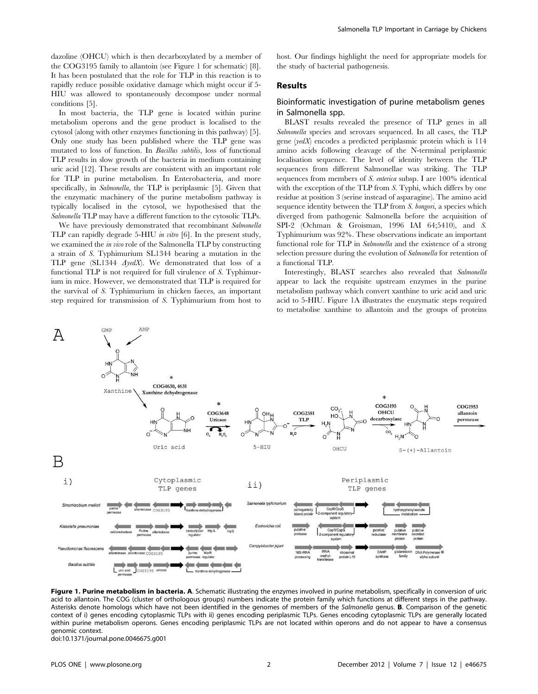dazoline (OHCU) which is then decarboxylated by a member of the COG3195 family to allantoin (see Figure 1 for schematic) [8]. It has been postulated that the role for TLP in this reaction is to rapidly reduce possible oxidative damage which might occur if 5- HIU was allowed to spontaneously decompose under normal conditions [5].

In most bacteria, the TLP gene is located within purine metabolism operons and the gene product is localised to the cytosol (along with other enzymes functioning in this pathway) [5]. Only one study has been published where the TLP gene was mutated to loss of function. In Bacillus subtilis, loss of functional TLP results in slow growth of the bacteria in medium containing uric acid [12]. These results are consistent with an important role for TLP in purine metabolism. In Enterobacteria, and more specifically, in Salmonella, the TLP is periplasmic [5]. Given that the enzymatic machinery of the purine metabolism pathway is typically localised in the cytosol, we hypothesised that the Salmonella TLP may have a different function to the cytosolic TLPs.

We have previously demonstrated that recombinant Salmonella TLP can rapidly degrade 5-HIU in vitro [6]. In the present study, we examined the in vivo role of the Salmonella TLP by constructing a strain of S. Typhimurium SL1344 bearing a mutation in the TLP gene (SL1344 AyedX). We demonstrated that loss of a functional TLP is not required for full virulence of S. Typhimurium in mice. However, we demonstrated that TLP is required for the survival of S. Typhimurium in chicken faeces, an important step required for transmission of S. Typhimurium from host to

host. Our findings highlight the need for appropriate models for the study of bacterial pathogenesis.

### Results

## Bioinformatic investigation of purine metabolism genes in Salmonella spp.

BLAST results revealed the presence of TLP genes in all Salmonella species and serovars sequenced. In all cases, the TLP gene (yedX) encodes a predicted periplasmic protein which is 114 amino acids following cleavage of the N-terminal periplasmic localisation sequence. The level of identity between the TLP sequences from different Salmonellae was striking. The TLP sequences from members of S. enterica subsp. I are 100% identical with the exception of the TLP from S. Typhi, which differs by one residue at position 3 (serine instead of asparagine). The amino acid sequence identity between the TLP from S. bongori, a species which diverged from pathogenic Salmonella before the acquisition of SPI-2 (Ochman & Groisman, 1996 IAI 64;5410), and S. Typhimurium was 92%. These observations indicate an important functional role for TLP in Salmonella and the existence of a strong selection pressure during the evolution of Salmonella for retention of a functional TLP.

Interestingly, BLAST searches also revealed that Salmonella appear to lack the requisite upstream enzymes in the purine metabolism pathway which convert xanthine to uric acid and uric acid to 5-HIU. Figure 1A illustrates the enzymatic steps required to metabolise xanthine to allantoin and the groups of proteins



Figure 1. Purine metabolism in bacteria. A. Schematic illustrating the enzymes involved in purine metabolism, specifically in conversion of uric acid to allantoin. The COG (cluster of orthologous groups) numbers indicate the protein family which functions at different steps in the pathway. Asterisks denote homologs which have not been identified in the genomes of members of the Salmonella genus. **B**. Comparison of the genetic context of i) genes encoding cytoplasmic TLPs with ii) genes encoding periplasmic TLPs. Genes encoding cytoplasmic TLPs are generally located within purine metabolism operons. Genes encoding periplasmic TLPs are not located within operons and do not appear to have a consensus genomic context.

doi:10.1371/journal.pone.0046675.g001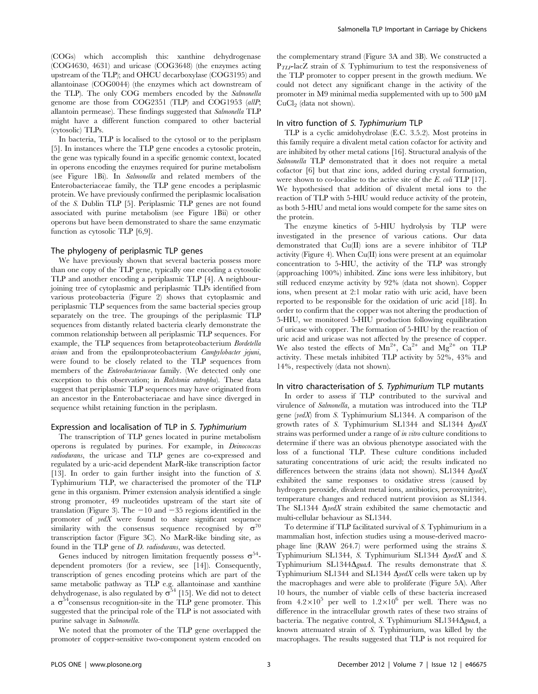(COGs) which accomplish this: xanthine dehydrogenase (COG4630, 4631) and uricase (COG3648) (the enzymes acting upstream of the TLP); and OHCU decarboxylase (COG3195) and allantoinase (COG0044) (the enzymes which act downstream of the TLP). The only COG members encoded by the Salmonella genome are those from COG2351 (TLP) and COG1953 (allP; allantoin permease). These findings suggested that Salmonella TLP might have a different function compared to other bacterial (cytosolic) TLPs.

In bacteria, TLP is localised to the cytosol or to the periplasm [5]. In instances where the TLP gene encodes a cytosolic protein, the gene was typically found in a specific genomic context, located in operons encoding the enzymes required for purine metabolism (see Figure 1Bi). In Salmonella and related members of the Enterobacteriaceae family, the TLP gene encodes a periplasmic protein. We have previously confirmed the periplasmic localisation of the S. Dublin TLP [5]. Periplasmic TLP genes are not found associated with purine metabolism (see Figure 1Bii) or other operons but have been demonstrated to share the same enzymatic function as cytosolic TLP [6,9].

#### The phylogeny of periplasmic TLP genes

We have previously shown that several bacteria possess more than one copy of the TLP gene, typically one encoding a cytosolic TLP and another encoding a periplasmic TLP [4]. A neighbourjoining tree of cytoplasmic and periplasmic TLPs identified from various proteobacteria (Figure 2) shows that cytoplasmic and periplasmic TLP sequences from the same bacterial species group separately on the tree. The groupings of the periplasmic TLP sequences from distantly related bacteria clearly demonstrate the common relationship between all periplasmic TLP sequences. For example, the TLP sequences from betaproteobacterium Bordetella avium and from the epsilonproteobacterium Campylobacter jejuni, were found to be closely related to the TLP sequences from members of the Enterobacteriaceae family. (We detected only one exception to this observation; in Ralstonia eutropha). These data suggest that periplasmic TLP sequences may have originated from an ancestor in the Enterobacteriacae and have since diverged in sequence whilst retaining function in the periplasm.

## Expression and localisation of TLP in S. Typhimurium

The transcription of TLP genes located in purine metabolism operons is regulated by purines. For example, in Deinococcus radiodurans, the uricase and TLP genes are co-expressed and regulated by a uric-acid dependent MarR-like transcription factor [13]. In order to gain further insight into the function of S. Typhimurium TLP, we characterised the promoter of the TLP gene in this organism. Primer extension analysis identified a single strong promoter, 49 nucleotides upstream of the start site of translation (Figure 3). The  $-10$  and  $-35$  regions identified in the promoter of  $y \in dX$  were found to share significant sequence similarity with the consensus sequence recognised by  $\sigma^{0}$ transcription factor (Figure 3C). No MarR-like binding site, as found in the TLP gene of D. radiodurans, was detected.

Genes induced by nitrogen limitation frequently possess  $\sigma^{54}$ dependent promoters (for a review, see [14]). Consequently, transcription of genes encoding proteins which are part of the same metabolic pathway as TLP e.g. allantoinase and xanthine dehydrogenase, is also regulated by  $\sigma^{54}$  [15]. We did not to detect a  $\sigma^{54}$ consensus recognition-site in the TLP gene promoter. This suggested that the principal role of the TLP is not associated with purine salvage in Salmonella.

We noted that the promoter of the TLP gene overlapped the promoter of copper-sensitive two-component system encoded on the complementary strand (Figure 3A and 3B). We constructed a  $P_{TLP}$ -lacZ strain of S. Typhimurium to test the responsiveness of the TLP promoter to copper present in the growth medium. We could not detect any significant change in the activity of the promoter in M9 minimal media supplemented with up to 500  $\mu$ M  $CuCl<sub>2</sub>$  (data not shown).

## In vitro function of S. Typhimurium TLP

TLP is a cyclic amidohydrolase (E.C. 3.5.2). Most proteins in this family require a divalent metal cation cofactor for activity and are inhibited by other metal cations [16]. Structural analysis of the Salmonella TLP demonstrated that it does not require a metal cofactor [6] but that zinc ions, added during crystal formation, were shown to co-localise to the active site of the E. coli TLP [17]. We hypothesised that addition of divalent metal ions to the reaction of TLP with 5-HIU would reduce activity of the protein, as both 5-HIU and metal ions would compete for the same sites on the protein.

The enzyme kinetics of 5-HIU hydrolysis by TLP were investigated in the presence of various cations. Our data demonstrated that Cu(II) ions are a severe inhibitor of TLP activity (Figure 4). When Cu(II) ions were present at an equimolar concentration to 5-HIU, the activity of the TLP was strongly (approaching 100%) inhibited. Zinc ions were less inhibitory, but still reduced enzyme activity by 92% (data not shown). Copper ions, when present at 2:1 molar ratio with uric acid, have been reported to be responsible for the oxidation of uric acid [18]. In order to confirm that the copper was not altering the production of 5-HIU, we monitored 5-HIU production following equilibration of uricase with copper. The formation of 5-HIU by the reaction of uric acid and uricase was not affected by the presence of copper. We also tested the effects of  $Mn^{2+}$ ,  $Ca^{2+}$  and  $Mg^{2+}$  on TLP activity. These metals inhibited TLP activity by 52%, 43% and 14%, respectively (data not shown).

### In vitro characterisation of S. Typhimurium TLP mutants

In order to assess if TLP contributed to the survival and virulence of Salmonella, a mutation was introduced into the TLP gene ( $\text{y}$ edX) from S. Typhimurium SL1344. A comparison of the growth rates of S. Typhimurium SL1344 and SL1344  $\Delta$ yedX strains was performed under a range of in vitro culture conditions to determine if there was an obvious phenotype associated with the loss of a functional TLP. These culture conditions included saturating concentrations of uric acid; the results indicated no differences between the strains (data not shown). SL1344  $\Delta$ yedX exhibited the same responses to oxidative stress (caused by hydrogen peroxide, divalent metal ions, antibiotics, peroxynitrite), temperature changes and reduced nutrient provision as SL1344. The SL1344  $\Delta y \in dX$  strain exhibited the same chemotactic and multi-cellular behaviour as SL1344.

To determine if TLP facilitated survival of S. Typhimurium in a mammalian host, infection studies using a mouse-derived macrophage line (RAW 264.7) were performed using the strains S. Typhimurium SL1344, S. Typhimurium SL1344  $\Delta$ yedX and S. Typhimurium SL1344 $\Delta$ guaA. The results demonstrate that S. Typhimurium SL1344 and SL1344  $\Delta$ yedX cells were taken up by the macrophages and were able to proliferate (Figure 5A). After 10 hours, the number of viable cells of these bacteria increased from  $4.2 \times 10^5$  per well to  $1.2 \times 10^6$  per well. There was no difference in the intracellular growth rates of these two strains of bacteria. The negative control, S. Typhimurium SL1344 $\Delta$ guaA, a known attenuated strain of S. Typhimurium, was killed by the macrophages. The results suggested that TLP is not required for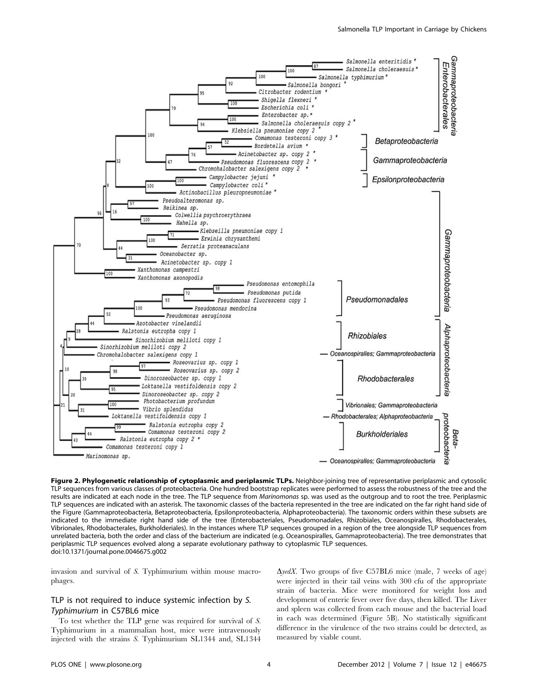

Figure 2. Phylogenetic relationship of cytoplasmic and periplasmic TLPs. Neighbor-joining tree of representative periplasmic and cytosolic TLP sequences from various classes of proteobacteria. One hundred bootstrap replicates were performed to assess the robustness of the tree and the results are indicated at each node in the tree. The TLP sequence from Marinomonas sp. was used as the outgroup and to root the tree. Periplasmic TLP sequences are indicated with an asterisk. The taxonomic classes of the bacteria represented in the tree are indicated on the far right hand side of the Figure (Gammaproteobacteria, Betaproteobacteria, Epsilonproteobacteria, Alphaproteobacteria). The taxonomic orders within these subsets are indicated to the immediate right hand side of the tree (Enterobacteriales, Pseudomonadales, Rhizobiales, Oceanospiralles, Rhodobacterales, Vibrionales, Rhodobacterales, Burkholderiales). In the instances where TLP sequences grouped in a region of the tree alongside TLP sequences from unrelated bacteria, both the order and class of the bacterium are indicated (e.g. Oceanospiralles, Gammaproteobacteria). The tree demonstrates that periplasmic TLP sequences evolved along a separate evolutionary pathway to cytoplasmic TLP sequences. doi:10.1371/journal.pone.0046675.g002

invasion and survival of S. Typhimurium within mouse macrophages.

## TLP is not required to induce systemic infection by S. Typhimurium in C57BL6 mice

To test whether the TLP gene was required for survival of S. Typhimurium in a mammalian host, mice were intravenously injected with the strains S. Typhimurium SL1344 and, SL1344

 $\Delta$ *yedX*. Two groups of five C57BL6 mice (male, 7 weeks of age) were injected in their tail veins with 300 cfu of the appropriate strain of bacteria. Mice were monitored for weight loss and development of enteric fever over five days, then killed. The Liver and spleen was collected from each mouse and the bacterial load in each was determined (Figure 5B). No statistically significant difference in the virulence of the two strains could be detected, as measured by viable count.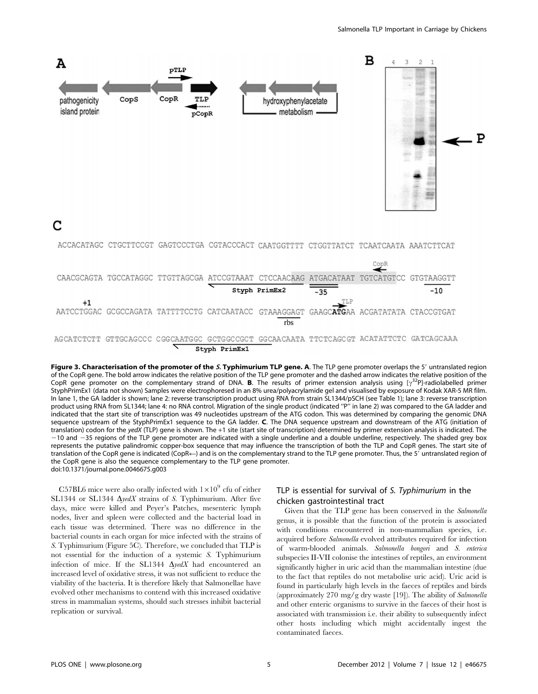

Figure 3. Characterisation of the promoter of the S. Typhimurium TLP gene. A. The TLP gene promoter overlaps the 5' untranslated region of the CopR gene. The bold arrow indicates the relative position of the TLP gene promoter and the dashed arrow indicates the relative position of the CopR gene promoter on the complementary strand of DNA. **B**. The results of primer extension analysis using  $[\gamma^{32}P]$ -radiolabelled primer StyphPrimEx1 (data not shown) Samples were electrophoresed in an 8% urea/polyacrylamide gel and visualised by exposure of Kodak XAR-5 MR film. In lane 1, the GA ladder is shown; lane 2: reverse transcription product using RNA from strain SL1344/pSCH (see Table 1); lane 3: reverse transcription product using RNA from SL1344; lane 4: no RNA control. Migration of the single product (indicated "P" in lane 2) was compared to the GA ladder and indicated that the start site of transcription was 49 nucleotides upstream of the ATG codon. This was determined by comparing the genomic DNA sequence upstream of the StyphPrimEx1 sequence to the GA ladder. C. The DNA sequence upstream and downstream of the ATG (initiation of translation) codon for the yedX (TLP) gene is shown. The +1 site (start site of transcription) determined by primer extension analysis is indicated. The  $-10$  and  $-35$  regions of the TLP gene promoter are indicated with a single underline and a double underline, respectively. The shaded grey box represents the putative palindromic copper-box sequence that may influence the transcription of both the TLP and CopR genes. The start site of translation of the CopR gene is indicated (CopR $\leftarrow$ ) and is on the complementary strand to the TLP gene promoter. Thus, the 5' untranslated region of the CopR gene is also the sequence complementary to the TLP gene promoter. doi:10.1371/journal.pone.0046675.g003

C57BL6 mice were also orally infected with  $1\times10^9$  cfu of either SL1344 or SL1344  $\Delta$ *yedX* strains of S. Typhimurium. After five days, mice were killed and Peyer's Patches, mesenteric lymph nodes, liver and spleen were collected and the bacterial load in each tissue was determined. There was no difference in the bacterial counts in each organ for mice infected with the strains of S. Typhimurium (Figure 5C). Therefore, we concluded that TLP is not essential for the induction of a systemic S. Typhimurium infection of mice. If the SL1344  $\Delta$ yedX had encountered an increased level of oxidative stress, it was not sufficient to reduce the viability of the bacteria. It is therefore likely that Salmonellae have evolved other mechanisms to contend with this increased oxidative stress in mammalian systems, should such stresses inhibit bacterial replication or survival.

## TLP is essential for survival of S. Typhimurium in the chicken gastrointestinal tract

Given that the TLP gene has been conserved in the Salmonella genus, it is possible that the function of the protein is associated with conditions encountered in non-mammalian species, i.e. acquired before Salmonella evolved attributes required for infection of warm-blooded animals. Salmonella bongori and S. enterica subspecies II-VII colonise the intestines of reptiles, an environment significantly higher in uric acid than the mammalian intestine (due to the fact that reptiles do not metabolise uric acid). Uric acid is found in particularly high levels in the faeces of reptiles and birds (approximately 270 mg/g dry waste [19]). The ability of Salmonella and other enteric organisms to survive in the faeces of their host is associated with transmission i.e. their ability to subsequently infect other hosts including which might accidentally ingest the contaminated faeces.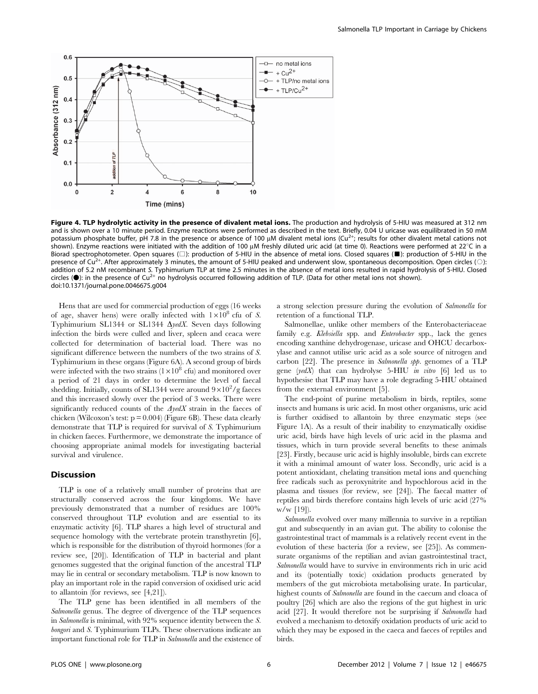

Figure 4. TLP hydrolytic activity in the presence of divalent metal ions. The production and hydrolysis of 5-HIU was measured at 312 nm and is shown over a 10 minute period. Enzyme reactions were performed as described in the text. Briefly, 0.04 U uricase was equilibrated in 50 mM potassium phosphate buffer, pH 7.8 in the presence or absence of 100  $\mu$ M divalent metal ions (Cu<sup>2+</sup>; results for other divalent metal cations not shown). Enzyme reactions were initiated with the addition of 100  $\mu$ M freshly diluted uric acid (at time 0). Reactions were performed at 22°C in a Biorad spectrophotometer. Open squares ( $\square$ ): production of 5-HIU in the absence of metal ions. Closed squares ( $\square$ ): production of 5-HIU in the presence of Cu<sup>2+</sup>. After approximately 3 minutes, the amount of 5-HIU peaked and underwent slow, spontaneous decomposition. Open circles ( $\circ$ ): addition of 5.2 nM recombinant S. Typhimurium TLP at time 2.5 minutes in the absence of metal ions resulted in rapid hydrolysis of 5-HIU. Closed circles ( $\bullet$ ): in the presence of Cu<sup>2+</sup> no hydrolysis occurred following addition of TLP. (Data for other metal ions not shown). doi:10.1371/journal.pone.0046675.g004

Hens that are used for commercial production of eggs (16 weeks of age, shaver hens) were orally infected with  $1 \times 10^8$  cfu of S. Typhimurium SL1344 or SL1344  $\Delta$ yedX. Seven days following infection the birds were culled and liver, spleen and ceaca were collected for determination of bacterial load. There was no significant difference between the numbers of the two strains of S. Typhimurium in these organs (Figure 6A). A second group of birds were infected with the two strains  $(1\times10^8 \text{ cfu})$  and monitored over a period of 21 days in order to determine the level of faecal shedding. Initially, counts of SL1344 were around  $9 \times 10^2/g$  faeces and this increased slowly over the period of 3 weeks. There were significantly reduced counts of the  $\Delta y \in \Delta X$  strain in the faeces of chicken (Wilcoxon's test:  $p = 0.004$ ) (Figure 6B). These data clearly demonstrate that TLP is required for survival of S. Typhimurium in chicken faeces. Furthermore, we demonstrate the importance of choosing appropriate animal models for investigating bacterial survival and virulence.

## Discussion

TLP is one of a relatively small number of proteins that are structurally conserved across the four kingdoms. We have previously demonstrated that a number of residues are 100% conserved throughout TLP evolution and are essential to its enzymatic activity [6]. TLP shares a high level of structural and sequence homology with the vertebrate protein transthyretin [6], which is responsible for the distribution of thyroid hormones (for a review see, [20]). Identification of TLP in bacterial and plant genomes suggested that the original function of the ancestral TLP may lie in central or secondary metabolism. TLP is now known to play an important role in the rapid conversion of oxidised uric acid to allantoin (for reviews, see [4,21]).

The TLP gene has been identified in all members of the Salmonella genus. The degree of divergence of the TLP sequences in Salmonella is minimal, with 92% sequence identity between the S. bongori and S. Typhimurium TLPs. These observations indicate an important functional role for TLP in Salmonella and the existence of a strong selection pressure during the evolution of Salmonella for retention of a functional TLP.

Salmonellae, unlike other members of the Enterobacteriaceae family e.g. Klebsiella spp. and Enterobacter spp., lack the genes encoding xanthine dehydrogenase, uricase and OHCU decarboxylase and cannot utilise uric acid as a sole source of nitrogen and carbon [22]. The presence in Salmonella spp. genomes of a TLP gene (yedX) that can hydrolyse 5-HIU in vitro  $[6]$  led us to hypothesise that TLP may have a role degrading 5-HIU obtained from the external environment [5].

The end-point of purine metabolism in birds, reptiles, some insects and humans is uric acid. In most other organisms, uric acid is further oxidised to allantoin by three enzymatic steps (see Figure 1A). As a result of their inability to enzymatically oxidise uric acid, birds have high levels of uric acid in the plasma and tissues, which in turn provide several benefits to these animals [23]. Firstly, because uric acid is highly insoluble, birds can excrete it with a minimal amount of water loss. Secondly, uric acid is a potent antioxidant, chelating transition metal ions and quenching free radicals such as peroxynitrite and hypochlorous acid in the plasma and tissues (for review, see [24]). The faecal matter of reptiles and birds therefore contains high levels of uric acid (27% w/w [19]).

Salmonella evolved over many millennia to survive in a reptilian gut and subsequently in an avian gut. The ability to colonise the gastrointestinal tract of mammals is a relatively recent event in the evolution of these bacteria (for a review, see [25]). As commensurate organisms of the reptilian and avian gastrointestinal tract, Salmonella would have to survive in environments rich in uric acid and its (potentially toxic) oxidation products generated by members of the gut microbiota metabolising urate. In particular, highest counts of Salmonella are found in the caecum and cloaca of poultry [26] which are also the regions of the gut highest in uric acid [27]. It would therefore not be surprising if Salmonella had evolved a mechanism to detoxify oxidation products of uric acid to which they may be exposed in the caeca and faeces of reptiles and birds.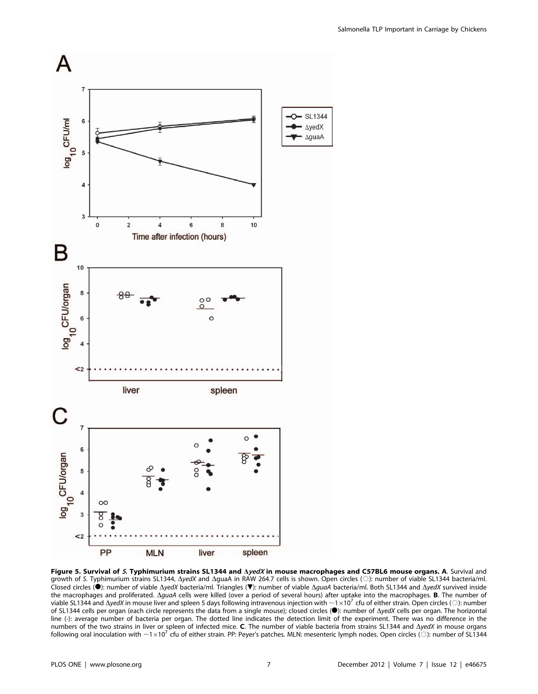

Figure 5. Survival of S. Typhimurium strains SL1344 and  $\Delta$ yedX in mouse macrophages and C57BL6 mouse organs. A. Survival and Growth of S. Typhimurium strains SL1344, AyedX and AguaA in RAW 264.7 cells is shown. Open circles (O): number of viable SL1344 bacteria/ml.<br>Closed circles (●): number of viable  $\Delta y$ edX bacteria/ml. Triangles (▼): number the macrophages and proliferated. AguaA cells were killed (over a period of several hours) after uptake into the macrophages. **B**. The number of viable SL1344 and  $\Delta$ yedX in mouse liver and spleen 5 days following intravenous injection with  $\sim 1 \times 10^7$  cfu of either strain. Open circles ( $\odot$ ): number of SL1344 and  $\Delta$ yedX in mouse liver and spleen 5 days fol line (-): average number of bacteria per organ. The dotted line indicates the detection limit of the experiment. There was no difference in the numbers of the two strains in liver or spleen of infected mice. C. The number of viable bacteria from strains SL1344 and  $\Delta yedX$  in mouse organs following oral inoculation with  $\sim 1\times10^7$  cfu of either strain. PP: Peyer's patches. MLN: mesenteric lymph nodes. Open circles ( $\odot$ ): number of SL1344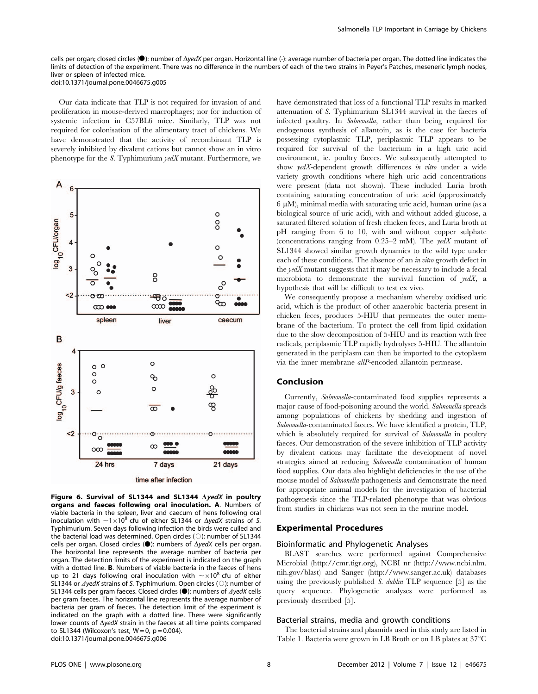cells per organ; closed circles ( $\bullet$ ): number of  $\Delta \text{ vedX}$  per organ. Horizontal line (-): average number of bacteria per organ. The dotted line indicates the limits of detection of the experiment. There was no difference in the numbers of each of the two strains in Peyer's Patches, meseneric lymph nodes, liver or spleen of infected mice. doi:10.1371/journal.pone.0046675.g005

Our data indicate that TLP is not required for invasion of and proliferation in mouse-derived macrophages; nor for induction of systemic infection in C57BL6 mice. Similarly, TLP was not required for colonisation of the alimentary tract of chickens. We have demonstrated that the activity of recombinant TLP is severely inhibited by divalent cations but cannot show an in vitro phenotype for the S. Typhimurium  $\textit{yedX}$  mutant. Furthermore, we



Figure 6. Survival of SL1344 and SL1344  $\Delta$ yedX in poultry organs and faeces following oral inoculation. A. Numbers of viable bacteria in the spleen, liver and caecum of hens following oral inoculation with  $\sim$ 1×10<sup>8</sup> cfu of either SL1344 or  $\Delta$ yedX strains of S. Typhimurium. Seven days following infection the birds were culled and Typhilmunum. Seven days following infection the birds were culled and<br>the bacterial load was determined. Open circles ( $\odot$ ): number of SL1344<br>cells per organ. Closed circles ( $\odot$ ): numbers of  $\Delta y e dX$  cells per organ. The horizontal line represents the average number of bacteria per organ. The detection limits of the experiment is indicated on the graph with a dotted line. B. Numbers of viable bacteria in the faeces of hens up to 21 days following oral inoculation with  $\sim$  ×10<sup>8</sup> cfu of either SL1344 or  $\Delta$ yedX strains of S. Typhimurium. Open circles ( $\circ$ ): number of SL1344 cells per gram faeces. Closed circles ( $\bullet$ ): numbers of  $\Delta$ yedX cells per gram faeces. The horizontal line represents the average number of bacteria per gram of faeces. The detection limit of the experiment is indicated on the graph with a dotted line. There were significantly lower counts of  $\Delta$ yedX strain in the faeces at all time points compared to SL1344 (Wilcoxon's test,  $W = 0$ ,  $p = 0.004$ ). doi:10.1371/journal.pone.0046675.g006

have demonstrated that loss of a functional TLP results in marked attenuation of S. Typhimurium SL1344 survival in the faeces of infected poultry. In Salmonella, rather than being required for endogenous synthesis of allantoin, as is the case for bacteria possessing cytoplasmic TLP, periplasmic TLP appears to be required for survival of the bacterium in a high uric acid environment, ie. poultry faeces. We subsequently attempted to show yedX-dependent growth differences in vitro under a wide variety growth conditions where high uric acid concentrations were present (data not shown). These included Luria broth containing saturating concentration of uric acid (approximately  $6 \mu$ M), minimal media with saturating uric acid, human urine (as a biological source of uric acid), with and without added glucose, a saturated filtered solution of fresh chicken feces, and Luria broth at pH ranging from 6 to 10, with and without copper sulphate (concentrations ranging from  $0.25-2$  mM). The yedX mutant of SL1344 showed similar growth dynamics to the wild type under each of these conditions. The absence of an in vitro growth defect in the  $\textit{vedX}$  mutant suggests that it may be necessary to include a fecal microbiota to demonstrate the survival function of yedX, a hypothesis that will be difficult to test ex vivo.

We consequently propose a mechanism whereby oxidised uric acid, which is the product of other anaerobic bacteria present in chicken feces, produces 5-HIU that permeates the outer membrane of the bacterium. To protect the cell from lipid oxidation due to the slow decomposition of 5-HIU and its reaction with free radicals, periplasmic TLP rapidly hydrolyses 5-HIU. The allantoin generated in the periplasm can then be imported to the cytoplasm via the inner membrane allP-encoded allantoin permease.

## Conclusion

Currently, Salmonella-contaminated food supplies represents a major cause of food-poisoning around the world. Salmonella spreads among populations of chickens by shedding and ingestion of Salmonella-contaminated faeces. We have identified a protein, TLP, which is absolutely required for survival of Salmonella in poultry faeces. Our demonstration of the severe inhibition of TLP activity by divalent cations may facilitate the development of novel strategies aimed at reducing Salmonella contamination of human food supplies. Our data also highlight deficiencies in the use of the mouse model of Salmonella pathogenesis and demonstrate the need for appropriate animal models for the investigation of bacterial pathogenesis since the TLP-related phenotype that was obvious from studies in chickens was not seen in the murine model.

## Experimental Procedures

## Bioinformatic and Phylogenetic Analyses

BLAST searches were performed against Comprehensive Microbial (http://cmr.tigr.org), NCBI nr (http://www.ncbi.nlm. nih.gov/blast) and Sanger (http://www.sanger.ac.uk) databases using the previously published S. dublin TLP sequence [5] as the query sequence. Phylogenetic analyses were performed as previously described [5].

#### Bacterial strains, media and growth conditions

The bacterial strains and plasmids used in this study are listed in Table 1. Bacteria were grown in LB Broth or on LB plates at  $37^{\circ}$ C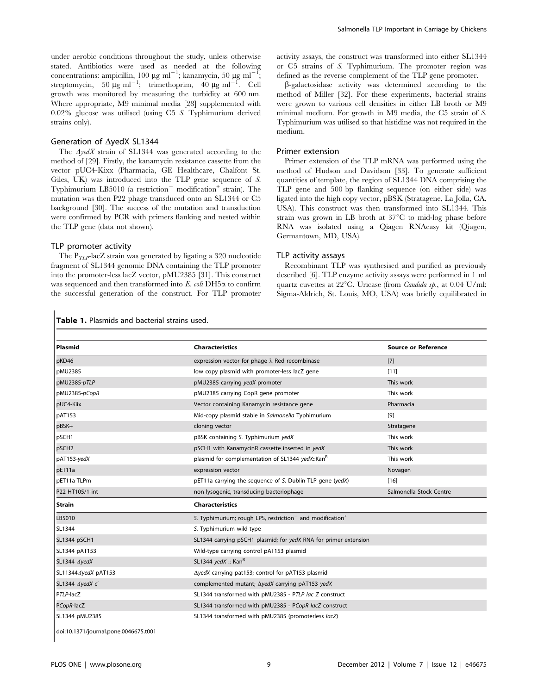under aerobic conditions throughout the study, unless otherwise stated. Antibiotics were used as needed at the following concentrations: ampicillin, 100  $\mu$ g ml<sup>-1</sup>; kanamycin, 50  $\mu$ g ml<sup>-1</sup>; streptomycin,  $50 \mu g \text{ ml}^{-1}$ ; trimethoprim,  $40 \mu g \text{ ml}^{-1}$ . Cell growth was monitored by measuring the turbidity at 600 nm. Where appropriate, M9 minimal media [28] supplemented with 0.02% glucose was utilised (using C5 S. Typhimurium derived strains only).

#### Generation of  $\Delta$ yedX SL1344

The  $\Delta \text{y} \text{e} \text{d} \text{X}$  strain of SL1344 was generated according to the method of [29]. Firstly, the kanamycin resistance cassette from the vector pUC4-Kixx (Pharmacia, GE Healthcare, Chalfont St. Giles, UK) was introduced into the TLP gene sequence of S. Typhimurium LB5010 (a restriction<sup>-</sup> modification<sup>+</sup> strain). The mutation was then P22 phage transduced onto an SL1344 or C5 background [30]. The success of the mutation and transduction were confirmed by PCR with primers flanking and nested within the TLP gene (data not shown).

#### TLP promoter activity

The  $P_{TLP}$ lacZ strain was generated by ligating a 320 nucleotide fragment of SL1344 genomic DNA containing the TLP promoter into the promoter-less lacZ vector, pMU2385 [31]. This construct was sequenced and then transformed into  $E$ . *coli* DH5 $\alpha$  to confirm the successful generation of the construct. For TLP promoter activity assays, the construct was transformed into either SL1344 or C5 strains of S. Typhimurium. The promoter region was defined as the reverse complement of the TLP gene promoter.

b-galactosidase activity was determined according to the method of Miller [32]. For these experiments, bacterial strains were grown to various cell densities in either LB broth or M9 minimal medium. For growth in M9 media, the C5 strain of S. Typhimurium was utilised so that histidine was not required in the medium.

#### Primer extension

Primer extension of the TLP mRNA was performed using the method of Hudson and Davidson [33]. To generate sufficient quantities of template, the region of SL1344 DNA comprising the TLP gene and 500 bp flanking sequence (on either side) was ligated into the high copy vector, pBSK (Stratagene, La Jolla, CA, USA). This construct was then transformed into SL1344. This strain was grown in LB broth at  $37^{\circ}$ C to mid-log phase before RNA was isolated using a Qiagen RNAeasy kit (Qiagen, Germantown, MD, USA).

#### TLP activity assays

Recombinant TLP was synthesised and purified as previously described [6]. TLP enzyme activity assays were performed in 1 ml quartz cuvettes at 22 $^{\circ}$ C. Uricase (from *Candida sp.*, at 0.04 U/ml; Sigma-Aldrich, St. Louis, MO, USA) was briefly equilibrated in

Table 1. Plasmids and bacterial strains used.

| Plasmid             | <b>Characteristics</b>                                                            | <b>Source or Reference</b> |
|---------------------|-----------------------------------------------------------------------------------|----------------------------|
| pKD46               | expression vector for phage $\lambda$ Red recombinase                             | $[7]$                      |
| pMU2385             | low copy plasmid with promoter-less lacZ gene                                     | [11]                       |
| pMU2385-pTLP        | pMU2385 carrying yedX promoter                                                    | This work                  |
| pMU2385-pCopR       | pMU2385 carrying CopR gene promoter                                               | This work                  |
| pUC4-Kiix           | Vector containing Kanamycin resistance gene                                       | Pharmacia                  |
| pAT153              | Mid-copy plasmid stable in Salmonella Typhimurium                                 | [9]                        |
| pBSK+               | cloning vector                                                                    | Stratagene                 |
| pSCH1               | pBSK containing S. Typhimurium yedX                                               | This work                  |
| pSCH <sub>2</sub>   | pSCH1 with KanamycinR cassette inserted in yedX                                   | This work                  |
| pAT153-yedX         | plasmid for complementation of SL1344 yedX::Kan <sup>R</sup>                      | This work                  |
| pET11a              | expression vector                                                                 | Novagen                    |
| pET11a-TLPm         | pET11a carrying the sequence of S. Dublin TLP gene (yedX)                         | $[16]$                     |
| P22 HT105/1-int     | non-lysogenic, transducing bacteriophage                                          | Salmonella Stock Centre    |
| <b>Strain</b>       | <b>Characteristics</b>                                                            |                            |
| LB5010              | S. Typhimurium; rough LPS, restriction <sup>-</sup> and modification <sup>+</sup> |                            |
| SL1344              | S. Typhimurium wild-type                                                          |                            |
| SL1344 pSCH1        | SL1344 carrying pSCH1 plasmid; for yedX RNA for primer extension                  |                            |
| SL1344 pAT153       | Wild-type carrying control pAT153 plasmid                                         |                            |
| SL1344 AyedX        | SL1344 yedX :: Kan $R$                                                            |                            |
| SL11344∆yedX pAT153 | $\Delta$ yedX carrying pat153; control for pAT153 plasmid                         |                            |
| SL1344 ∆yedX c'     | complemented mutant; AyedX carrying pAT153 yedX                                   |                            |
| PTLP-lacZ           | SL1344 transformed with pMU2385 - PTLP lac Z construct                            |                            |
| PCopR-lacZ          | SL1344 transformed with pMU2385 - PCopR lacZ construct                            |                            |
| SL1344 pMU2385      | SL1344 transformed with pMU2385 (promoterless lacZ)                               |                            |

doi:10.1371/journal.pone.0046675.t001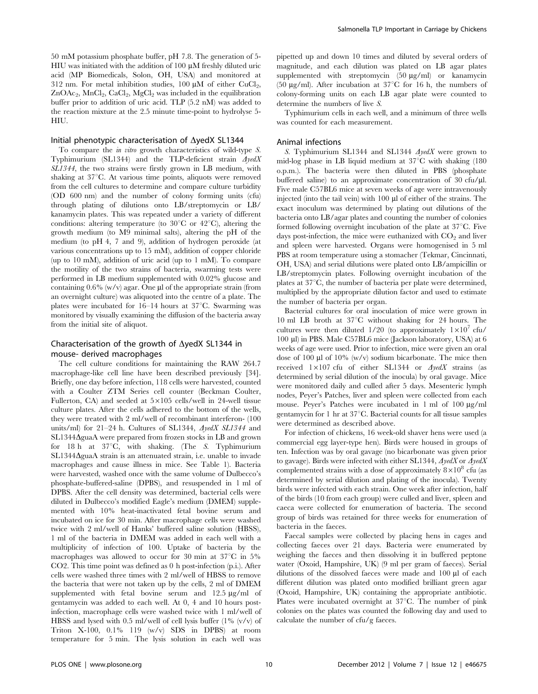50 mM potassium phosphate buffer, pH 7.8. The generation of 5- HIU was initiated with the addition of  $100 \mu$ M freshly diluted uric acid (MP Biomedicals, Solon, OH, USA) and monitored at 312 nm. For metal inhibition studies, 100  $\mu$ M of either CuCl<sub>2</sub>,  $ZnOAc_2$ , MnCl<sub>2</sub>, CaCl<sub>2</sub>, MgCl<sub>2</sub> was included in the equilibration buffer prior to addition of uric acid. TLP (5.2 nM) was added to the reaction mixture at the 2.5 minute time-point to hydrolyse 5- HIU.

#### Initial phenotypic characterisation of  $\Delta$ yedX SL1344

To compare the in vitro growth characteristics of wild-type S. Typhimurium (SL1344) and the TLP-deficient strain  $\Delta$ yedX SL1344, the two strains were firstly grown in LB medium, with shaking at  $37^{\circ}$ C. At various time points, aliquots were removed from the cell cultures to determine and compare culture turbidity (OD 600 nm) and the number of colony forming units (cfu) through plating of dilutions onto LB/streptomycin or LB/ kanamycin plates. This was repeated under a variety of different conditions: altering temperature (to  $30^{\circ}$ C or  $42^{\circ}$ C), altering the growth medium (to M9 minimal salts), altering the pH of the medium (to pH 4, 7 and 9), addition of hydrogen peroxide (at various concentrations up to 15 mM), addition of copper chloride (up to 10 mM), addition of uric acid (up to 1 mM). To compare the motility of the two strains of bacteria, swarming tests were performed in LB medium supplemented with 0.02% glucose and containing  $0.6\%$  (w/v) agar. One µl of the appropriate strain (from an overnight culture) was aliquoted into the centre of a plate. The plates were incubated for  $16-14$  hours at  $37^{\circ}$ C. Swarming was monitored by visually examining the diffusion of the bacteria away from the initial site of aliquot.

## Characterisation of the growth of  $\Delta$ yedX SL1344 in mouse- derived macrophages

The cell culture conditions for maintaining the RAW 264.7 macrophage-like cell line have been described previously [34]. Briefly, one day before infection, 118 cells were harvested, counted with a Coulter ZTM Series cell counter (Beckman Coulter, Fullerton, CA) and seeded at  $5\times105$  cells/well in 24-well tissue culture plates. After the cells adhered to the bottom of the wells, they were treated with 2 ml/well of recombinant interferon- (100 units/ml) for 21-24 h. Cultures of SL1344,  $\Delta y \in dX$  SL1344 and  $SL1344\Delta$ guaA were prepared from frozen stocks in LB and grown for 18 h at  $37^{\circ}$ C, with shaking. (The S. Typhimurium  $SL1344\Delta$ guaA strain is an attenuated strain, i.e. unable to invade macrophages and cause illness in mice. See Table 1). Bacteria were harvested, washed once with the same volume of Dulbecco's phosphate-buffered-saline (DPBS), and resuspended in 1 ml of DPBS. After the cell density was determined, bacterial cells were diluted in Dulbecco's modified Eagle's medium (DMEM) supplemented with 10% heat-inactivated fetal bovine serum and incubated on ice for 30 min. After macrophage cells were washed twice with 2 ml/well of Hanks' buffered saline solution (HBSS), 1 ml of the bacteria in DMEM was added in each well with a multiplicity of infection of 100. Uptake of bacteria by the macrophages was allowed to occur for 30 min at  $37^{\circ}$ C in 5% CO2. This time point was defined as 0 h post-infection (p.i.). After cells were washed three times with 2 ml/well of HBSS to remove the bacteria that were not taken up by the cells, 2 ml of DMEM supplemented with fetal bovine serum and  $12.5 \mu g/ml$  of gentamycin was added to each well. At 0, 4 and 10 hours postinfection, macrophage cells were washed twice with 1 ml/well of HBSS and lysed with 0.5 ml/well of cell lysis buffer  $(1\%$  (v/v) of Triton X-100, 0.1% 119 (w/v) SDS in DPBS) at room temperature for 5 min. The lysis solution in each well was pipetted up and down 10 times and diluted by several orders of magnitude, and each dilution was plated on LB agar plates supplemented with streptomycin  $(50 \mu g/ml)$  or kanamycin (50  $\mu$ g/ml). After incubation at 37°C for 16 h, the numbers of colony-forming units on each LB agar plate were counted to determine the numbers of live S.

Typhimurium cells in each well, and a minimum of three wells was counted for each measurement.

#### Animal infections

S. Typhimurium SL1344 and SL1344  $\Delta$ yedX were grown to mid-log phase in LB liquid medium at  $37^{\circ}$ C with shaking (180) o.p.m.). The bacteria were then diluted in PBS (phosphate buffered saline) to an approximate concentration of  $30 \text{ cftu/µl}$ . Five male C57BL6 mice at seven weeks of age were intravenously injected (into the tail vein) with  $100 \mu$  d of either of the strains. The exact inoculum was determined by plating out dilutions of the bacteria onto LB/agar plates and counting the number of colonies formed following overnight incubation of the plate at  $37^{\circ}$ C. Five days post-infection, the mice were euthanized with  $CO<sub>2</sub>$  and liver and spleen were harvested. Organs were homogenised in 5 ml PBS at room temperature using a stomacher (Tekmar, Cincinnati, OH, USA) and serial dilutions were plated onto LB/ampicillin or LB/streptomycin plates. Following overnight incubation of the plates at  $37^{\circ}$ C, the number of bacteria per plate were determined, multiplied by the appropriate dilution factor and used to estimate the number of bacteria per organ.

Bacterial cultures for oral inoculation of mice were grown in 10 ml LB broth at  $37^{\circ}$ C without shaking for 24 hours. The cultures were then diluted  $1/20$  (to approximately  $1\times10^7$  cfu/ 100 ml) in PBS. Male C57BL6 mice (Jackson laboratory, USA) at 6 weeks of age were used. Prior to infection, mice were given an oral dose of 100  $\mu$ l of 10% (w/v) sodium bicarbonate. The mice then received  $1 \times 107$  cfu of either SL1344 or  $\Delta y \neq dX$  strains (as determined by serial dilution of the inocula) by oral gavage. Mice were monitored daily and culled after 5 days. Mesenteric lymph nodes, Peyer's Patches, liver and spleen were collected from each mouse. Peyer's Patches were incubated in 1 ml of 100  $\mu$ g/ml gentamycin for 1 hr at  $37^{\circ}$ C. Bacterial counts for all tissue samples were determined as described above.

For infection of chickens, 16 week-old shaver hens were used (a commercial egg layer-type hen). Birds were housed in groups of ten. Infection was by oral gavage (no bicarbonate was given prior to gavage). Birds were infected with either SL1344,  $\Delta \text{red}X$  or  $\Delta \text{red}X$ complemented strains with a dose of approximately  $8 \times 10^8$  cfu (as determined by serial dilution and plating of the inocula). Twenty birds were infected with each strain. One week after infection, half of the birds (10 from each group) were culled and liver, spleen and caeca were collected for enumeration of bacteria. The second group of birds was retained for three weeks for enumeration of bacteria in the faeces.

Faecal samples were collected by placing hens in cages and collecting faeces over 21 days. Bacteria were enumerated by weighing the faeces and then dissolving it in buffered peptone water (Oxoid, Hampshire, UK) (9 ml per gram of faeces). Serial dilutions of the dissolved faeces were made and 100 µl of each different dilution was plated onto modified brilliant green agar (Oxoid, Hampshire, UK) containing the appropriate antibiotic. Plates were incubated overnight at  $37^{\circ}$ C. The number of pink colonies on the plates was counted the following day and used to calculate the number of cfu/g faeces.